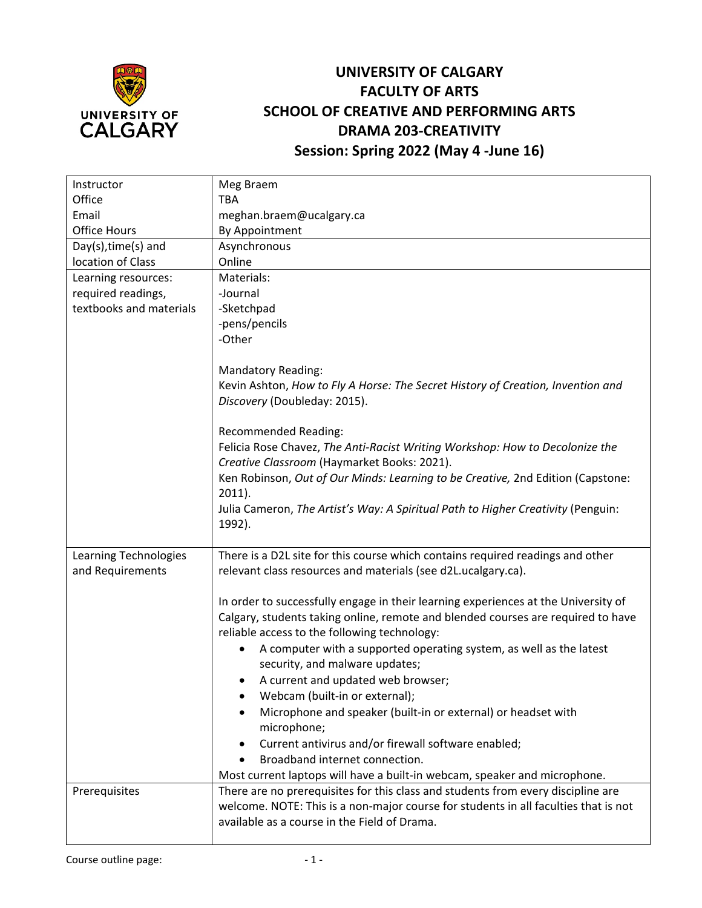

## **UNIVERSITY OF CALGARY FACULTY OF ARTS SCHOOL OF CREATIVE AND PERFORMING ARTS DRAMA 203-CREATIVITY Session: Spring 2022 (May 4 -June 16)**

| Instructor              | Meg Braem                                                                           |
|-------------------------|-------------------------------------------------------------------------------------|
| Office                  | <b>TBA</b>                                                                          |
| Email                   | meghan.braem@ucalgary.ca                                                            |
| <b>Office Hours</b>     | By Appointment                                                                      |
| Day(s), time(s) and     | Asynchronous                                                                        |
| location of Class       | Online                                                                              |
| Learning resources:     | Materials:                                                                          |
| required readings,      | -Journal                                                                            |
| textbooks and materials | -Sketchpad                                                                          |
|                         | -pens/pencils                                                                       |
|                         | -Other                                                                              |
|                         |                                                                                     |
|                         | <b>Mandatory Reading:</b>                                                           |
|                         | Kevin Ashton, How to Fly A Horse: The Secret History of Creation, Invention and     |
|                         | Discovery (Doubleday: 2015).                                                        |
|                         |                                                                                     |
|                         | <b>Recommended Reading:</b>                                                         |
|                         | Felicia Rose Chavez, The Anti-Racist Writing Workshop: How to Decolonize the        |
|                         | Creative Classroom (Haymarket Books: 2021).                                         |
|                         | Ken Robinson, Out of Our Minds: Learning to be Creative, 2nd Edition (Capstone:     |
|                         | $2011$ ).                                                                           |
|                         | Julia Cameron, The Artist's Way: A Spiritual Path to Higher Creativity (Penguin:    |
|                         | 1992).                                                                              |
|                         |                                                                                     |
| Learning Technologies   | There is a D2L site for this course which contains required readings and other      |
| and Requirements        | relevant class resources and materials (see d2L.ucalgary.ca).                       |
|                         |                                                                                     |
|                         | In order to successfully engage in their learning experiences at the University of  |
|                         | Calgary, students taking online, remote and blended courses are required to have    |
|                         | reliable access to the following technology:                                        |
|                         | A computer with a supported operating system, as well as the latest                 |
|                         | security, and malware updates;                                                      |
|                         | A current and updated web browser;                                                  |
|                         | Webcam (built-in or external);                                                      |
|                         | Microphone and speaker (built-in or external) or headset with                       |
|                         | microphone;                                                                         |
|                         | Current antivirus and/or firewall software enabled;<br>$\bullet$                    |
|                         | Broadband internet connection.<br>$\bullet$                                         |
|                         | Most current laptops will have a built-in webcam, speaker and microphone.           |
| Prerequisites           | There are no prerequisites for this class and students from every discipline are    |
|                         | welcome. NOTE: This is a non-major course for students in all faculties that is not |
|                         | available as a course in the Field of Drama.                                        |
|                         |                                                                                     |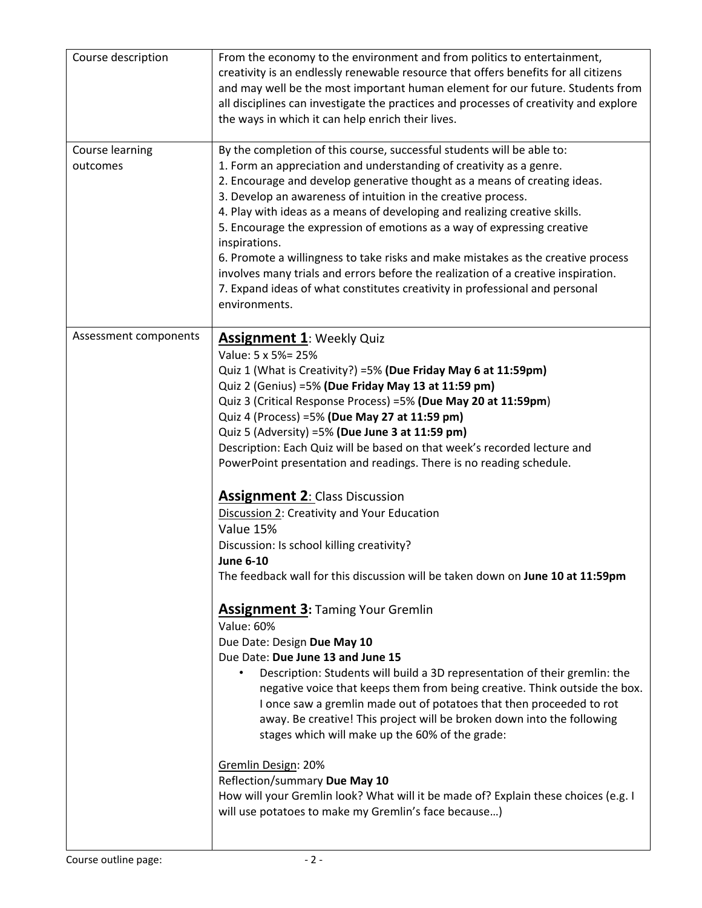| Course description          | From the economy to the environment and from politics to entertainment,<br>creativity is an endlessly renewable resource that offers benefits for all citizens<br>and may well be the most important human element for our future. Students from<br>all disciplines can investigate the practices and processes of creativity and explore<br>the ways in which it can help enrich their lives.                                                                                                                                                                                                                                                                                                                                                                                                                                                                                                                                                                                                                                                                                                                                                                                                                                                                                                                                                                                                                                                                                |
|-----------------------------|-------------------------------------------------------------------------------------------------------------------------------------------------------------------------------------------------------------------------------------------------------------------------------------------------------------------------------------------------------------------------------------------------------------------------------------------------------------------------------------------------------------------------------------------------------------------------------------------------------------------------------------------------------------------------------------------------------------------------------------------------------------------------------------------------------------------------------------------------------------------------------------------------------------------------------------------------------------------------------------------------------------------------------------------------------------------------------------------------------------------------------------------------------------------------------------------------------------------------------------------------------------------------------------------------------------------------------------------------------------------------------------------------------------------------------------------------------------------------------|
| Course learning<br>outcomes | By the completion of this course, successful students will be able to:<br>1. Form an appreciation and understanding of creativity as a genre.<br>2. Encourage and develop generative thought as a means of creating ideas.<br>3. Develop an awareness of intuition in the creative process.<br>4. Play with ideas as a means of developing and realizing creative skills.<br>5. Encourage the expression of emotions as a way of expressing creative<br>inspirations.<br>6. Promote a willingness to take risks and make mistakes as the creative process<br>involves many trials and errors before the realization of a creative inspiration.<br>7. Expand ideas of what constitutes creativity in professional and personal<br>environments.                                                                                                                                                                                                                                                                                                                                                                                                                                                                                                                                                                                                                                                                                                                                |
| Assessment components       | <b>Assignment 1: Weekly Quiz</b><br>Value: 5 x 5%= 25%<br>Quiz 1 (What is Creativity?) =5% (Due Friday May 6 at 11:59pm)<br>Quiz 2 (Genius) =5% (Due Friday May 13 at 11:59 pm)<br>Quiz 3 (Critical Response Process) =5% (Due May 20 at 11:59pm)<br>Quiz 4 (Process) = 5% (Due May 27 at 11:59 pm)<br>Quiz 5 (Adversity) =5% (Due June 3 at 11:59 pm)<br>Description: Each Quiz will be based on that week's recorded lecture and<br>PowerPoint presentation and readings. There is no reading schedule.<br><b>Assignment 2: Class Discussion</b><br>Discussion 2: Creativity and Your Education<br>Value 15%<br>Discussion: Is school killing creativity?<br><b>June 6-10</b><br>The feedback wall for this discussion will be taken down on June 10 at 11:59pm<br><b>Assignment 3: Taming Your Gremlin</b><br><b>Value: 60%</b><br>Due Date: Design Due May 10<br>Due Date: Due June 13 and June 15<br>Description: Students will build a 3D representation of their gremlin: the<br>negative voice that keeps them from being creative. Think outside the box.<br>I once saw a gremlin made out of potatoes that then proceeded to rot<br>away. Be creative! This project will be broken down into the following<br>stages which will make up the 60% of the grade:<br>Gremlin Design: 20%<br>Reflection/summary Due May 10<br>How will your Gremlin look? What will it be made of? Explain these choices (e.g. I<br>will use potatoes to make my Gremlin's face because) |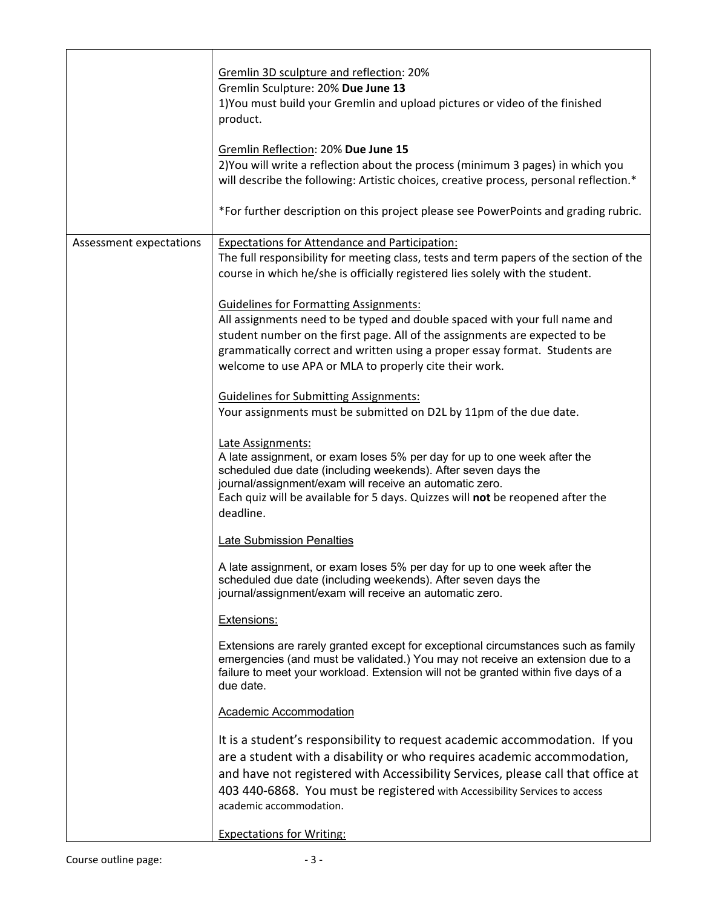|                         | Gremlin 3D sculpture and reflection: 20%<br>Gremlin Sculpture: 20% Due June 13<br>1) You must build your Gremlin and upload pictures or video of the finished<br>product.<br>Gremlin Reflection: 20% Due June 15<br>2) You will write a reflection about the process (minimum 3 pages) in which you<br>will describe the following: Artistic choices, creative process, personal reflection.*<br>*For further description on this project please see PowerPoints and grading rubric.                                                                                                                                                                                                                                                                                                                                                                                                                                                                                                                                                                                                                                                                                                                                                                                                                                                                                                                                                                                                                                                                                                                                                                                                                                                                                                                                                                         |
|-------------------------|--------------------------------------------------------------------------------------------------------------------------------------------------------------------------------------------------------------------------------------------------------------------------------------------------------------------------------------------------------------------------------------------------------------------------------------------------------------------------------------------------------------------------------------------------------------------------------------------------------------------------------------------------------------------------------------------------------------------------------------------------------------------------------------------------------------------------------------------------------------------------------------------------------------------------------------------------------------------------------------------------------------------------------------------------------------------------------------------------------------------------------------------------------------------------------------------------------------------------------------------------------------------------------------------------------------------------------------------------------------------------------------------------------------------------------------------------------------------------------------------------------------------------------------------------------------------------------------------------------------------------------------------------------------------------------------------------------------------------------------------------------------------------------------------------------------------------------------------------------------|
| Assessment expectations | <b>Expectations for Attendance and Participation:</b><br>The full responsibility for meeting class, tests and term papers of the section of the<br>course in which he/she is officially registered lies solely with the student.<br><b>Guidelines for Formatting Assignments:</b><br>All assignments need to be typed and double spaced with your full name and<br>student number on the first page. All of the assignments are expected to be<br>grammatically correct and written using a proper essay format. Students are<br>welcome to use APA or MLA to properly cite their work.<br><b>Guidelines for Submitting Assignments:</b><br>Your assignments must be submitted on D2L by 11pm of the due date.<br>Late Assignments:<br>A late assignment, or exam loses 5% per day for up to one week after the<br>scheduled due date (including weekends). After seven days the<br>journal/assignment/exam will receive an automatic zero.<br>Each quiz will be available for 5 days. Quizzes will not be reopened after the<br>deadline.<br><b>Late Submission Penalties</b><br>A late assignment, or exam loses 5% per day for up to one week after the<br>scheduled due date (including weekends). After seven days the<br>journal/assignment/exam will receive an automatic zero.<br>Extensions:<br>Extensions are rarely granted except for exceptional circumstances such as family<br>emergencies (and must be validated.) You may not receive an extension due to a<br>failure to meet your workload. Extension will not be granted within five days of a<br>due date.<br><b>Academic Accommodation</b><br>It is a student's responsibility to request academic accommodation. If you<br>are a student with a disability or who requires academic accommodation,<br>and have not registered with Accessibility Services, please call that office at |
|                         | 403 440-6868. You must be registered with Accessibility Services to access<br>academic accommodation.<br><b>Expectations for Writing:</b>                                                                                                                                                                                                                                                                                                                                                                                                                                                                                                                                                                                                                                                                                                                                                                                                                                                                                                                                                                                                                                                                                                                                                                                                                                                                                                                                                                                                                                                                                                                                                                                                                                                                                                                    |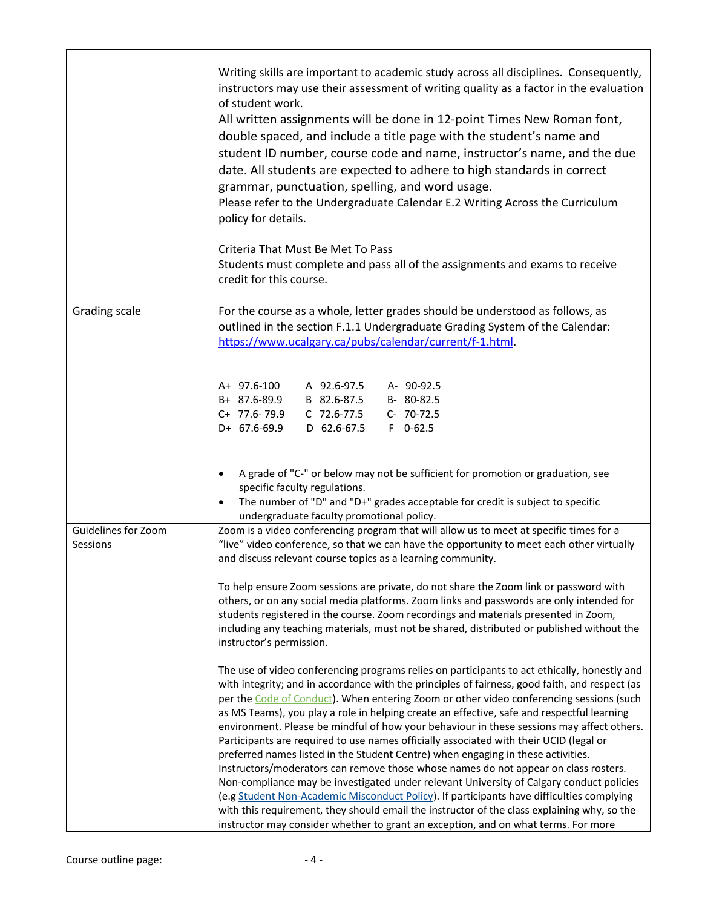|                                 | Writing skills are important to academic study across all disciplines. Consequently,<br>instructors may use their assessment of writing quality as a factor in the evaluation<br>of student work.<br>All written assignments will be done in 12-point Times New Roman font,<br>double spaced, and include a title page with the student's name and<br>student ID number, course code and name, instructor's name, and the due<br>date. All students are expected to adhere to high standards in correct<br>grammar, punctuation, spelling, and word usage.<br>Please refer to the Undergraduate Calendar E.2 Writing Across the Curriculum<br>policy for details.<br>Criteria That Must Be Met To Pass<br>Students must complete and pass all of the assignments and exams to receive<br>credit for this course. |
|---------------------------------|------------------------------------------------------------------------------------------------------------------------------------------------------------------------------------------------------------------------------------------------------------------------------------------------------------------------------------------------------------------------------------------------------------------------------------------------------------------------------------------------------------------------------------------------------------------------------------------------------------------------------------------------------------------------------------------------------------------------------------------------------------------------------------------------------------------|
| Grading scale                   | For the course as a whole, letter grades should be understood as follows, as<br>outlined in the section F.1.1 Undergraduate Grading System of the Calendar:<br>https://www.ucalgary.ca/pubs/calendar/current/f-1.html.                                                                                                                                                                                                                                                                                                                                                                                                                                                                                                                                                                                           |
|                                 | A+ 97.6-100<br>A 92.6-97.5<br>A- 90-92.5<br>B+ 87.6-89.9<br>B 82.6-87.5<br>B-80-82.5<br>C+ 77.6-79.9<br>C 72.6-77.5<br>C- 70-72.5<br>D+ 67.6-69.9<br>D 62.6-67.5<br>$F$ 0-62.5                                                                                                                                                                                                                                                                                                                                                                                                                                                                                                                                                                                                                                   |
|                                 | A grade of "C-" or below may not be sufficient for promotion or graduation, see<br>$\bullet$<br>specific faculty regulations.<br>The number of "D" and "D+" grades acceptable for credit is subject to specific<br>$\bullet$<br>undergraduate faculty promotional policy.                                                                                                                                                                                                                                                                                                                                                                                                                                                                                                                                        |
| Guidelines for Zoom<br>Sessions | Zoom is a video conferencing program that will allow us to meet at specific times for a<br>"live" video conference, so that we can have the opportunity to meet each other virtually<br>and discuss relevant course topics as a learning community.                                                                                                                                                                                                                                                                                                                                                                                                                                                                                                                                                              |
|                                 | To help ensure Zoom sessions are private, do not share the Zoom link or password with<br>others, or on any social media platforms. Zoom links and passwords are only intended for<br>students registered in the course. Zoom recordings and materials presented in Zoom,<br>including any teaching materials, must not be shared, distributed or published without the<br>instructor's permission.                                                                                                                                                                                                                                                                                                                                                                                                               |
|                                 | The use of video conferencing programs relies on participants to act ethically, honestly and<br>with integrity; and in accordance with the principles of fairness, good faith, and respect (as<br>per the Code of Conduct). When entering Zoom or other video conferencing sessions (such<br>as MS Teams), you play a role in helping create an effective, safe and respectful learning<br>environment. Please be mindful of how your behaviour in these sessions may affect others.<br>Participants are required to use names officially associated with their UCID (legal or<br>preferred names listed in the Student Centre) when engaging in these activities.                                                                                                                                               |
|                                 | Instructors/moderators can remove those whose names do not appear on class rosters.<br>Non-compliance may be investigated under relevant University of Calgary conduct policies<br>(e.g Student Non-Academic Misconduct Policy). If participants have difficulties complying<br>with this requirement, they should email the instructor of the class explaining why, so the<br>instructor may consider whether to grant an exception, and on what terms. For more                                                                                                                                                                                                                                                                                                                                                |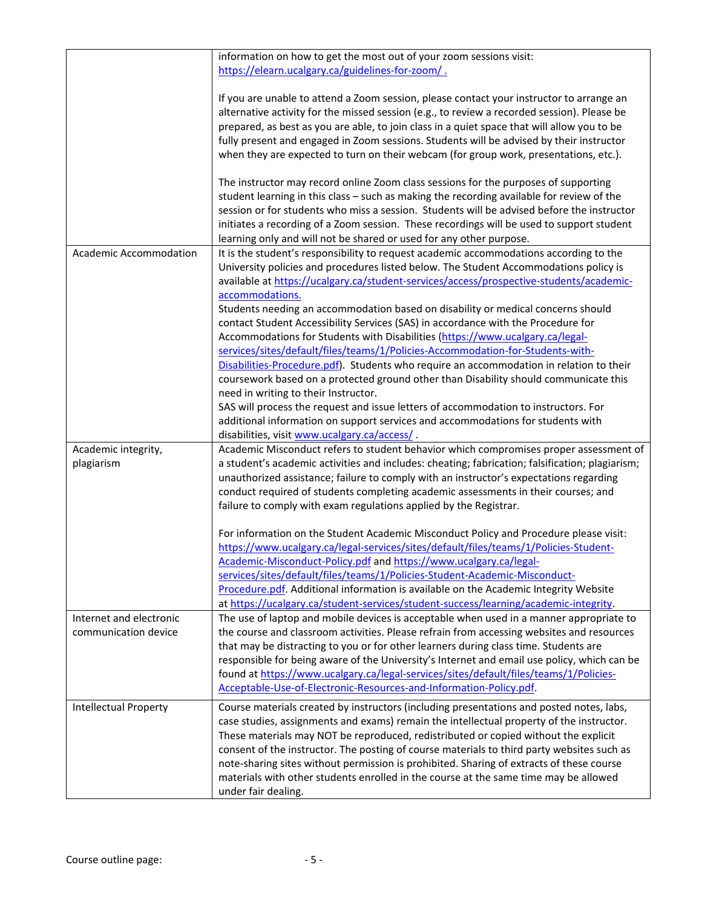|                               | information on how to get the most out of your zoom sessions visit:                             |
|-------------------------------|-------------------------------------------------------------------------------------------------|
|                               | https://elearn.ucalgary.ca/guidelines-for-zoom/.                                                |
|                               |                                                                                                 |
|                               | If you are unable to attend a Zoom session, please contact your instructor to arrange an        |
|                               | alternative activity for the missed session (e.g., to review a recorded session). Please be     |
|                               |                                                                                                 |
|                               | prepared, as best as you are able, to join class in a quiet space that will allow you to be     |
|                               | fully present and engaged in Zoom sessions. Students will be advised by their instructor        |
|                               | when they are expected to turn on their webcam (for group work, presentations, etc.).           |
|                               | The instructor may record online Zoom class sessions for the purposes of supporting             |
|                               | student learning in this class - such as making the recording available for review of the       |
|                               | session or for students who miss a session. Students will be advised before the instructor      |
|                               | initiates a recording of a Zoom session. These recordings will be used to support student       |
|                               |                                                                                                 |
|                               | learning only and will not be shared or used for any other purpose.                             |
| <b>Academic Accommodation</b> | It is the student's responsibility to request academic accommodations according to the          |
|                               | University policies and procedures listed below. The Student Accommodations policy is           |
|                               | available at https://ucalgary.ca/student-services/access/prospective-students/academic-         |
|                               | accommodations.                                                                                 |
|                               | Students needing an accommodation based on disability or medical concerns should                |
|                               | contact Student Accessibility Services (SAS) in accordance with the Procedure for               |
|                               | Accommodations for Students with Disabilities (https://www.ucalgary.ca/legal-                   |
|                               | services/sites/default/files/teams/1/Policies-Accommodation-for-Students-with-                  |
|                               | Disabilities-Procedure.pdf). Students who require an accommodation in relation to their         |
|                               |                                                                                                 |
|                               | coursework based on a protected ground other than Disability should communicate this            |
|                               | need in writing to their Instructor.                                                            |
|                               | SAS will process the request and issue letters of accommodation to instructors. For             |
|                               | additional information on support services and accommodations for students with                 |
|                               | disabilities, visit www.ucalgary.ca/access/.                                                    |
| Academic integrity,           | Academic Misconduct refers to student behavior which compromises proper assessment of           |
| plagiarism                    | a student's academic activities and includes: cheating; fabrication; falsification; plagiarism; |
|                               |                                                                                                 |
|                               |                                                                                                 |
|                               | unauthorized assistance; failure to comply with an instructor's expectations regarding          |
|                               | conduct required of students completing academic assessments in their courses; and              |
|                               | failure to comply with exam regulations applied by the Registrar.                               |
|                               |                                                                                                 |
|                               | For information on the Student Academic Misconduct Policy and Procedure please visit:           |
|                               | https://www.ucalgary.ca/legal-services/sites/default/files/teams/1/Policies-Student-            |
|                               | Academic-Misconduct-Policy.pdf and https://www.ucalgary.ca/legal-                               |
|                               | services/sites/default/files/teams/1/Policies-Student-Academic-Misconduct-                      |
|                               | Procedure.pdf. Additional information is available on the Academic Integrity Website            |
|                               | at https://ucalgary.ca/student-services/student-success/learning/academic-integrity.            |
| Internet and electronic       | The use of laptop and mobile devices is acceptable when used in a manner appropriate to         |
| communication device          | the course and classroom activities. Please refrain from accessing websites and resources       |
|                               | that may be distracting to you or for other learners during class time. Students are            |
|                               | responsible for being aware of the University's Internet and email use policy, which can be     |
|                               | found at https://www.ucalgary.ca/legal-services/sites/default/files/teams/1/Policies-           |
|                               | Acceptable-Use-of-Electronic-Resources-and-Information-Policy.pdf.                              |
|                               |                                                                                                 |
| Intellectual Property         | Course materials created by instructors (including presentations and posted notes, labs,        |
|                               | case studies, assignments and exams) remain the intellectual property of the instructor.        |
|                               | These materials may NOT be reproduced, redistributed or copied without the explicit             |
|                               | consent of the instructor. The posting of course materials to third party websites such as      |
|                               | note-sharing sites without permission is prohibited. Sharing of extracts of these course        |
|                               | materials with other students enrolled in the course at the same time may be allowed            |